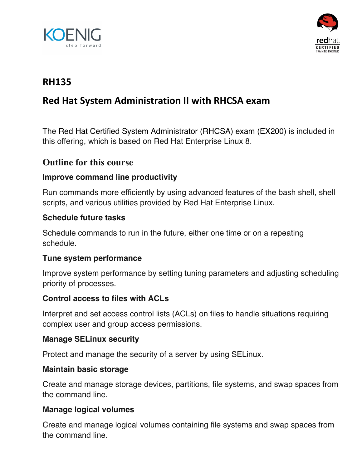



## **RH135**

# **Red Hat System Administration II with RHCSA exam**

The Red Hat Certified System Administrator (RHCSA) exam (EX200) is included in this offering, which is based on Red Hat Enterprise Linux 8.

### **Outline for this course**

#### **Improve command line productivity**

Run commands more efficiently by using advanced features of the bash shell, shell scripts, and various utilities provided by Red Hat Enterprise Linux.

#### **Schedule future tasks**

Schedule commands to run in the future, either one time or on a repeating schedule.

#### **Tune system performance**

Improve system performance by setting tuning parameters and adjusting scheduling priority of processes.

#### **Control access to files with ACLs**

Interpret and set access control lists (ACLs) on files to handle situations requiring complex user and group access permissions.

#### **Manage SELinux security**

Protect and manage the security of a server by using SELinux.

#### **Maintain basic storage**

Create and manage storage devices, partitions, file systems, and swap spaces from the command line.

#### **Manage logical volumes**

Create and manage logical volumes containing file systems and swap spaces from the command line.